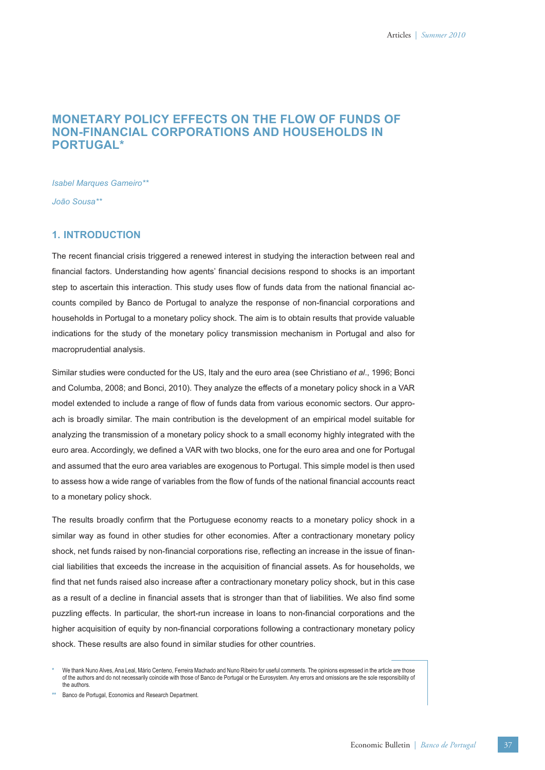# **MONETARY POLICY EFFECTS ON THE FLOW OF FUNDS OF NON-FINANCIAL CORPORATIONS AND HOUSEHOLDS IN PORTUGAL\***

*Isabel Marques Gameiro\*\**

*João Sousa\*\**

# **1. INTRODUCTION**

The recent financial crisis triggered a renewed interest in studying the interaction between real and financial factors. Understanding how agents' financial decisions respond to shocks is an important step to ascertain this interaction. This study uses flow of funds data from the national financial accounts compiled by Banco de Portugal to analyze the response of non-financial corporations and households in Portugal to a monetary policy shock. The aim is to obtain results that provide valuable indications for the study of the monetary policy transmission mechanism in Portugal and also for macroprudential analysis.

Similar studies were conducted for the US, Italy and the euro area (see Christiano *et al*., 1996; Bonci and Columba, 2008; and Bonci, 2010). They analyze the effects of a monetary policy shock in a VAR model extended to include a range of flow of funds data from various economic sectors. Our approach is broadly similar. The main contribution is the development of an empirical model suitable for analyzing the transmission of a monetary policy shock to a small economy highly integrated with the euro area. Accordingly, we defined a VAR with two blocks, one for the euro area and one for Portugal and assumed that the euro area variables are exogenous to Portugal. This simple model is then used to assess how a wide range of variables from the flow of funds of the national financial accounts react to a monetary policy shock.

The results broadly confirm that the Portuguese economy reacts to a monetary policy shock in a similar way as found in other studies for other economies. After a contractionary monetary policy shock, net funds raised by non-financial corporations rise, reflecting an increase in the issue of financial liabilities that exceeds the increase in the acquisition of financial assets. As for households, we find that net funds raised also increase after a contractionary monetary policy shock, but in this case as a result of a decline in financial assets that is stronger than that of liabilities. We also find some puzzling effects. In particular, the short-run increase in loans to non-financial corporations and the higher acquisition of equity by non-financial corporations following a contractionary monetary policy shock. These results are also found in similar studies for other countries.

**\*\*** Banco de Portugal, Economics and Research Department.

**<sup>\*</sup>** We thank Nuno Alves, Ana Leal, Mário Centeno, Ferreira Machado and Nuno Ribeiro for useful comments. The opinions expressed in the article are those of the authors and do not necessarily coincide with those of Banco de Portugal or the Eurosystem. Any errors and omissions are the sole responsibility of the authors.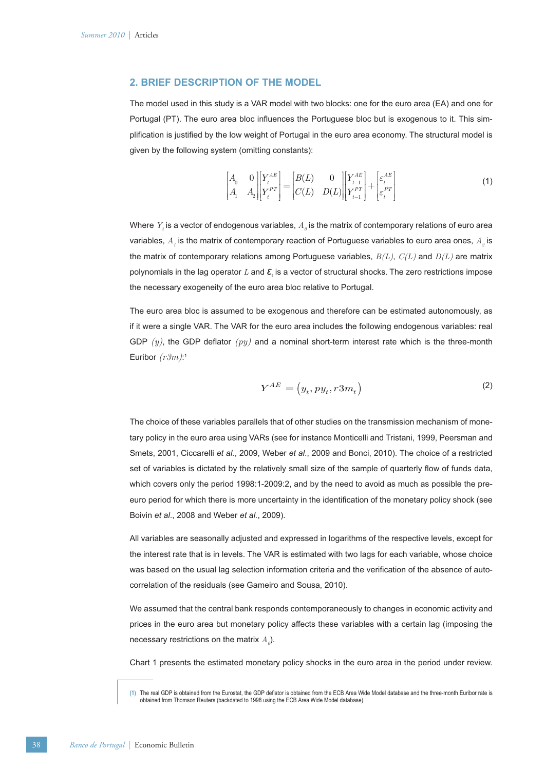### **2. BRIEF DESCRIPTION OF THE MODEL**

The model used in this study is a VAR model with two blocks: one for the euro area (EA) and one for Portugal (PT). The euro area bloc influences the Portuguese bloc but is exogenous to it. This simplification is justified by the low weight of Portugal in the euro area economy. The structural model is given by the following system (omitting constants):

$$
\begin{bmatrix} A_0 & 0 \\ A_1 & A_2 \end{bmatrix} \begin{bmatrix} Y_t^{AE} \\ Y_t^{PT} \end{bmatrix} = \begin{bmatrix} B(L) & 0 \\ C(L) & D(L) \end{bmatrix} \begin{bmatrix} Y_{t-1}^{AE} \\ Y_{t-1}^{PT} \end{bmatrix} + \begin{bmatrix} \varepsilon_t^{AE} \\ \varepsilon_t^{PT} \end{bmatrix}
$$
 (1)

Where  $\,Y_{_t}$  is a vector of endogenous variables,  $\,A_{_{\it{O}}}$  is the matrix of contemporary relations of euro area variables,  $A_{_I}$  is the matrix of contemporary reaction of Portuguese variables to euro area ones,  $A_{_2}$  is the matrix of contemporary relations among Portuguese variables, *B(L)*, *C(L)* and *D(L)* are matrix polynomials in the lag operator *L* and **ε**<sub>τ</sub> is a vector of structural shocks. The zero restrictions impose the necessary exogeneity of the euro area bloc relative to Portugal.

The euro area bloc is assumed to be exogenous and therefore can be estimated autonomously, as if it were a single VAR. The VAR for the euro area includes the following endogenous variables: real GDP  $(y)$ , the GDP deflator  $(py)$  and a nominal short-term interest rate which is the three-month Euribor *(r3m)*: 1

$$
Y^{AE} = (y_t, py_t, r3m_t)
$$
 (2)

The choice of these variables parallels that of other studies on the transmission mechanism of monetary policy in the euro area using VARs (see for instance Monticelli and Tristani, 1999, Peersman and Smets, 2001, Ciccarelli *et al.*, 2009, Weber *et al*., 2009 and Bonci, 2010). The choice of a restricted set of variables is dictated by the relatively small size of the sample of quarterly flow of funds data, which covers only the period 1998:1-2009:2, and by the need to avoid as much as possible the preeuro period for which there is more uncertainty in the identification of the monetary policy shock (see Boivin *et al*., 2008 and Weber *et al.*, 2009).

All variables are seasonally adjusted and expressed in logarithms of the respective levels, except for the interest rate that is in levels. The VAR is estimated with two lags for each variable, whose choice was based on the usual lag selection information criteria and the verification of the absence of autocorrelation of the residuals (see Gameiro and Sousa, 2010).

We assumed that the central bank responds contemporaneously to changes in economic activity and prices in the euro area but monetary policy affects these variables with a certain lag (imposing the necessary restrictions on the matrix  $A_{\scriptscriptstyle{\theta}}$ ).

Chart 1 presents the estimated monetary policy shocks in the euro area in the period under review.

<sup>(1)</sup> The real GDP is obtained from the Eurostat, the GDP deflator is obtained from the ECB Area Wide Model database and the three-month Euribor rate is obtained from Thomson Reuters (backdated to 1998 using the ECB Area Wide Model database).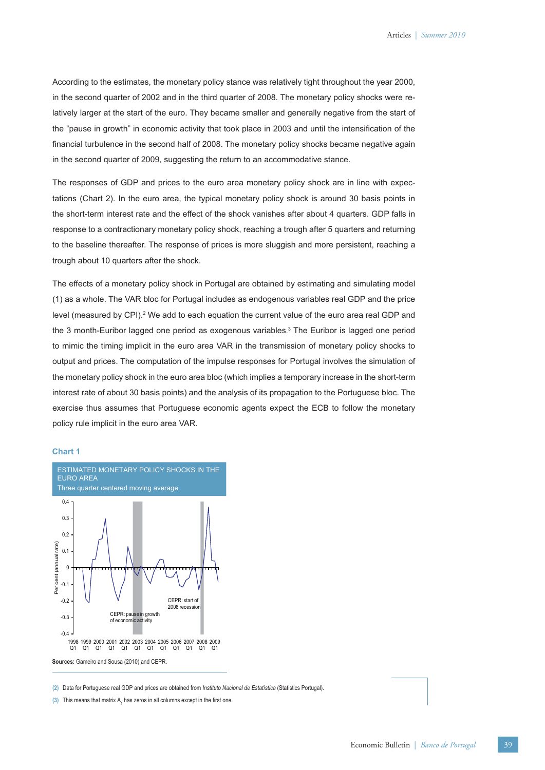According to the estimates, the monetary policy stance was relatively tight throughout the year 2000, in the second quarter of 2002 and in the third quarter of 2008. The monetary policy shocks were relatively larger at the start of the euro. They became smaller and generally negative from the start of the "pause in growth" in economic activity that took place in 2003 and until the intensification of the financial turbulence in the second half of 2008. The monetary policy shocks became negative again in the second quarter of 2009, suggesting the return to an accommodative stance.

The responses of GDP and prices to the euro area monetary policy shock are in line with expectations (Chart 2). In the euro area, the typical monetary policy shock is around 30 basis points in the short-term interest rate and the effect of the shock vanishes after about 4 quarters. GDP falls in response to a contractionary monetary policy shock, reaching a trough after 5 quarters and returning to the baseline thereafter. The response of prices is more sluggish and more persistent, reaching a trough about 10 quarters after the shock.

The effects of a monetary policy shock in Portugal are obtained by estimating and simulating model (1) as a whole. The VAR bloc for Portugal includes as endogenous variables real GDP and the price level (measured by CPI).<sup>2</sup> We add to each equation the current value of the euro area real GDP and the 3 month-Euribor lagged one period as exogenous variables. 3 The Euribor is lagged one period to mimic the timing implicit in the euro area VAR in the transmission of monetary policy shocks to output and prices. The computation of the impulse responses for Portugal involves the simulation of the monetary policy shock in the euro area bloc (which implies a temporary increase in the short-term interest rate of about 30 basis points) and the analysis of its propagation to the Portuguese bloc. The exercise thus assumes that Portuguese economic agents expect the ECB to follow the monetary policy rule implicit in the euro area VAR.

#### **Chart 1**



**(2)** Data for Portuguese real GDP and prices are obtained from *Instituto Nacional de Estatística* (Statistics Portugal).

 $(3)$  This means that matrix  $A_1$  has zeros in all columns except in the first one.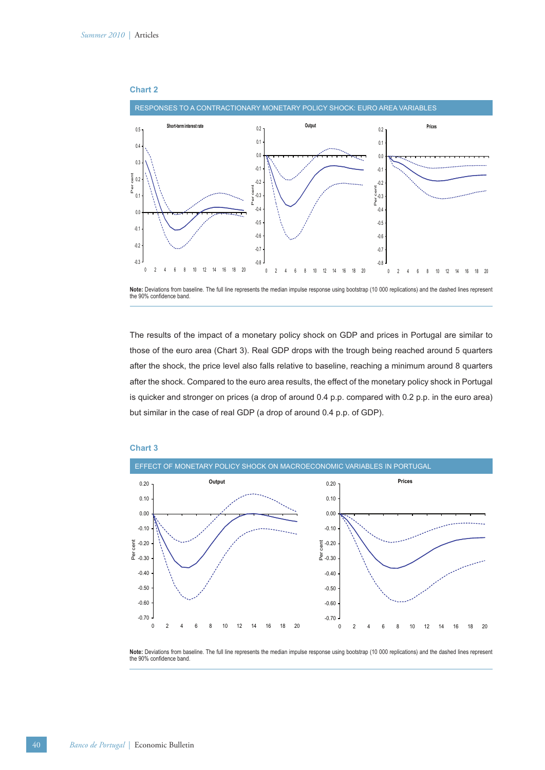



The results of the impact of a monetary policy shock on GDP and prices in Portugal are similar to those of the euro area (Chart 3). Real GDP drops with the trough being reached around 5 quarters after the shock, the price level also falls relative to baseline, reaching a minimum around 8 quarters after the shock. Compared to the euro area results, the effect of the monetary policy shock in Portugal is quicker and stronger on prices (a drop of around 0.4 p.p. compared with 0.2 p.p. in the euro area) but similar in the case of real GDP (a drop of around 0.4 p.p. of GDP).



## **Chart 3**

**Note:** Deviations from baseline. The full line represents the median impulse response using bootstrap (10 000 replications) and the dashed lines represent the 90% confidence band.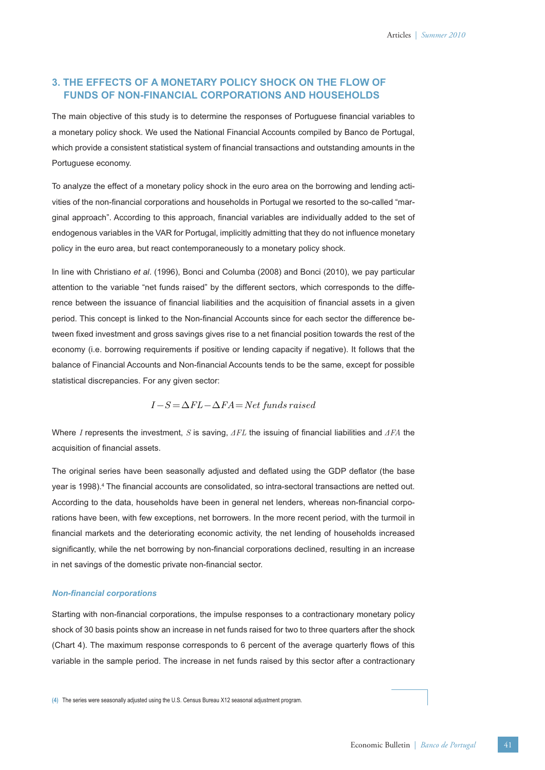# **3. THE EFFECTS OF A MONETARY POLICY SHOCK ON THE FLOW OF FUNDS OF NON-FINANCIAL CORPORATIONS AND HOUSEHOLDS**

The main objective of this study is to determine the responses of Portuguese financial variables to a monetary policy shock. We used the National Financial Accounts compiled by Banco de Portugal, which provide a consistent statistical system of financial transactions and outstanding amounts in the Portuguese economy.

To analyze the effect of a monetary policy shock in the euro area on the borrowing and lending activities of the non-financial corporations and households in Portugal we resorted to the so-called "marginal approach". According to this approach, financial variables are individually added to the set of endogenous variables in the VAR for Portugal, implicitly admitting that they do not influence monetary policy in the euro area, but react contemporaneously to a monetary policy shock.

In line with Christiano *et al*. (1996), Bonci and Columba (2008) and Bonci (2010), we pay particular attention to the variable "net funds raised" by the different sectors, which corresponds to the difference between the issuance of financial liabilities and the acquisition of financial assets in a given period. This concept is linked to the Non-financial Accounts since for each sector the difference between fixed investment and gross savings gives rise to a net financial position towards the rest of the economy (i.e. borrowing requirements if positive or lending capacity if negative). It follows that the balance of Financial Accounts and Non-financial Accounts tends to be the same, except for possible statistical discrepancies. For any given sector:

$$
I-S=\Delta FL-\Delta FA=Net\, funds\, raised
$$

Where *I* represents the investment, *S* is saving,  $\Delta FL$  the issuing of financial liabilities and  $\Delta FA$  the acquisition of financial assets.

The original series have been seasonally adjusted and deflated using the GDP deflator (the base year is 1998).<sup>4</sup> The financial accounts are consolidated, so intra-sectoral transactions are netted out. According to the data, households have been in general net lenders, whereas non-financial corporations have been, with few exceptions, net borrowers. In the more recent period, with the turmoil in financial markets and the deteriorating economic activity, the net lending of households increased significantly, while the net borrowing by non-financial corporations declined, resulting in an increase in net savings of the domestic private non-financial sector.

#### *Non-fi nancial corporations*

Starting with non-financial corporations, the impulse responses to a contractionary monetary policy shock of 30 basis points show an increase in net funds raised for two to three quarters after the shock (Chart 4). The maximum response corresponds to 6 percent of the average quarterly flows of this variable in the sample period. The increase in net funds raised by this sector after a contractionary

**(4)** The series were seasonally adjusted using the U.S. Census Bureau X12 seasonal adjustment program.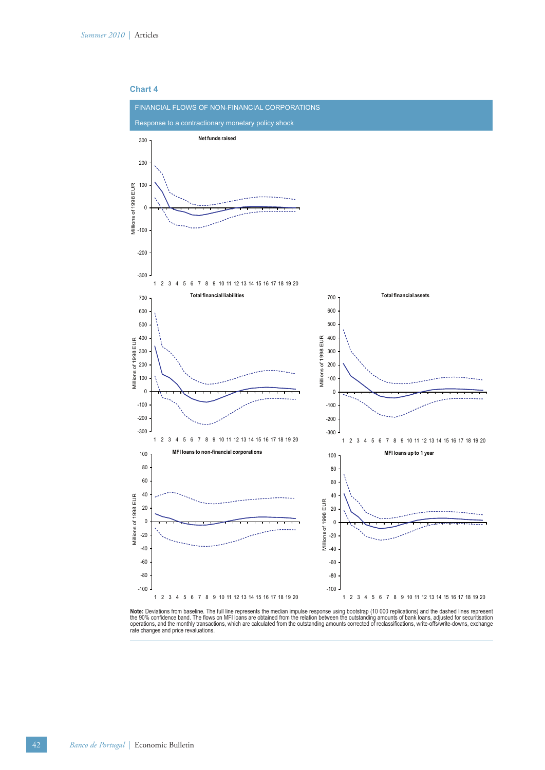

**Note:** Deviations from baseline. The full line represents the median impulse response using bootstrap (10 000 replications) and the dashed lines represent<br>the 90% confidence band. The flows on MFI loans are obtained from rate changes and price revaluations.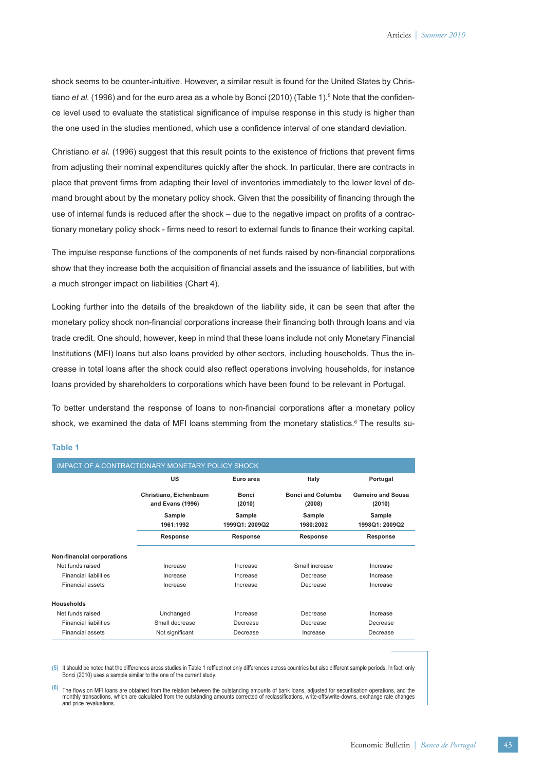shock seems to be counter-intuitive. However, a similar result is found for the United States by Christiano *et al.* (1996) and for the euro area as a whole by Bonci (2010) (Table 1).<sup>5</sup> Note that the confidence level used to evaluate the statistical significance of impulse response in this study is higher than the one used in the studies mentioned, which use a confidence interval of one standard deviation.

Christiano *et al.* (1996) suggest that this result points to the existence of frictions that prevent firms from adjusting their nominal expenditures quickly after the shock. In particular, there are contracts in place that prevent firms from adapting their level of inventories immediately to the lower level of demand brought about by the monetary policy shock. Given that the possibility of financing through the use of internal funds is reduced after the shock – due to the negative impact on profits of a contractionary monetary policy shock - firms need to resort to external funds to finance their working capital.

The impulse response functions of the components of net funds raised by non-financial corporations show that they increase both the acquisition of financial assets and the issuance of liabilities, but with a much stronger impact on liabilities (Chart 4).

Looking further into the details of the breakdown of the liability side, it can be seen that after the monetary policy shock non-financial corporations increase their financing both through loans and via trade credit. One should, however, keep in mind that these loans include not only Monetary Financial Institutions (MFI) loans but also loans provided by other sectors, including households. Thus the increase in total loans after the shock could also reflect operations involving households, for instance loans provided by shareholders to corporations which have been found to be relevant in Portugal.

To better understand the response of loans to non-financial corporations after a monetary policy shock, we examined the data of MFI loans stemming from the monetary statistics.<sup>6</sup> The results su-

#### **Table 1**

| <b>IMPACT OF A CONTRACTIONARY MONETARY POLICY SHOCK</b> |                                            |                          |                                    |                                    |
|---------------------------------------------------------|--------------------------------------------|--------------------------|------------------------------------|------------------------------------|
|                                                         | <b>US</b>                                  | Euro area                | Italy                              | Portugal                           |
|                                                         | Christiano, Eichenbaum<br>and Evans (1996) | <b>Bonci</b><br>(2010)   | <b>Bonci and Columba</b><br>(2008) | <b>Gameiro and Sousa</b><br>(2010) |
|                                                         | Sample<br>1961:1992                        | Sample<br>1999Q1: 2009Q2 | Sample<br>1980:2002                | Sample<br>1998Q1: 2009Q2           |
|                                                         | Response                                   | Response                 | Response                           | Response                           |
| Non-financial corporations                              |                                            |                          |                                    |                                    |
| Net funds raised                                        | Increase                                   | Increase                 | Small increase                     | Increase                           |
| <b>Financial liabilities</b>                            | Increase                                   | Increase                 | Decrease                           | Increase                           |
| Financial assets                                        | Increase                                   | Increase                 | Decrease                           | Increase                           |
| Households                                              |                                            |                          |                                    |                                    |
| Net funds raised                                        | Unchanged                                  | Increase                 | Decrease                           | Increase                           |
| <b>Financial liabilities</b>                            | Small decrease                             | Decrease                 | Decrease                           | Decrease                           |
| <b>Financial assets</b>                                 | Not significant                            | Decrease                 | Increase                           | Decrease                           |

(5) It should be noted that the differences aross studies in Table 1 refflect not only differences across countries but also different sample periods. In fact, only Bonci (2010) uses a sample similar to the one of the current study.

<sup>(6)</sup> The flows on MFI loans are obtained from the relation between the outstanding amounts of bank loans, adjusted for securitisation operations, and the monthly transactions, which are calculated from the outstanding amounts corrected of reclassifications, write-offs/write-downs, exchange rate changes<br>and price revaluations.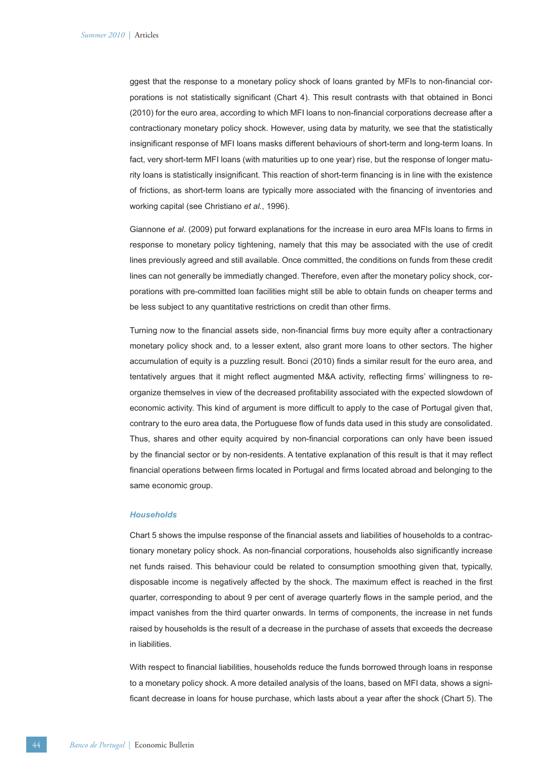ggest that the response to a monetary policy shock of loans granted by MFIs to non-financial corporations is not statistically significant (Chart 4). This result contrasts with that obtained in Bonci (2010) for the euro area, according to which MFI loans to non-financial corporations decrease after a contractionary monetary policy shock. However, using data by maturity, we see that the statistically insignificant response of MFI loans masks different behaviours of short-term and long-term loans. In fact, very short-term MFI loans (with maturities up to one year) rise, but the response of longer maturity loans is statistically insignificant. This reaction of short-term financing is in line with the existence of frictions, as short-term loans are typically more associated with the financing of inventories and working capital (see Christiano *et al.*, 1996).

Giannone et al. (2009) put forward explanations for the increase in euro area MFIs loans to firms in response to monetary policy tightening, namely that this may be associated with the use of credit lines previously agreed and still available. Once committed, the conditions on funds from these credit lines can not generally be immediatly changed. Therefore, even after the monetary policy shock, corporations with pre-committed loan facilities might still be able to obtain funds on cheaper terms and be less subject to any quantitative restrictions on credit than other firms.

Turning now to the financial assets side, non-financial firms buy more equity after a contractionary monetary policy shock and, to a lesser extent, also grant more loans to other sectors. The higher accumulation of equity is a puzzling result. Bonci (2010) finds a similar result for the euro area, and tentatively argues that it might reflect augmented M&A activity, reflecting firms' willingness to reorganize themselves in view of the decreased profitability associated with the expected slowdown of economic activity. This kind of argument is more difficult to apply to the case of Portugal given that, contrary to the euro area data, the Portuguese flow of funds data used in this study are consolidated. Thus, shares and other equity acquired by non-financial corporations can only have been issued by the financial sector or by non-residents. A tentative explanation of this result is that it may reflect financial operations between firms located in Portugal and firms located abroad and belonging to the same economic group.

#### *Households*

Chart 5 shows the impulse response of the financial assets and liabilities of households to a contractionary monetary policy shock. As non-financial corporations, households also significantly increase net funds raised. This behaviour could be related to consumption smoothing given that, typically, disposable income is negatively affected by the shock. The maximum effect is reached in the first quarter, corresponding to about 9 per cent of average quarterly flows in the sample period, and the impact vanishes from the third quarter onwards. In terms of components, the increase in net funds raised by households is the result of a decrease in the purchase of assets that exceeds the decrease in liabilities.

With respect to financial liabilities, households reduce the funds borrowed through loans in response to a monetary policy shock. A more detailed analysis of the loans, based on MFI data, shows a significant decrease in loans for house purchase, which lasts about a year after the shock (Chart 5). The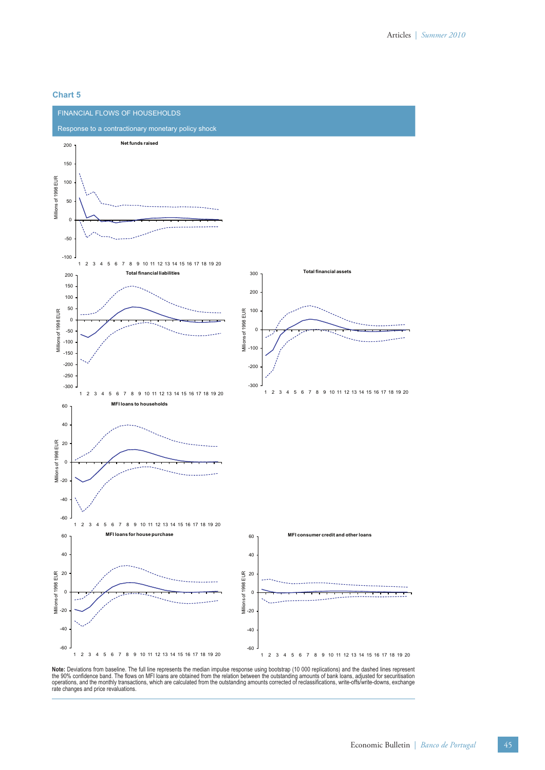# **Chart 5**



**Note:** Deviations from baseline. The full line represents the median impulse response using bootstrap (10 000 replications) and the dashed lines represent<br>the 90% confidence band. The flows on MFI loans are obtained from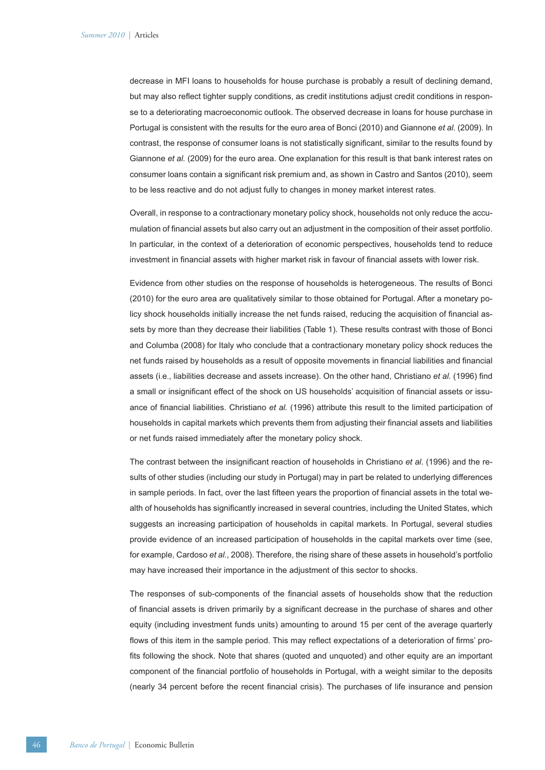decrease in MFI loans to households for house purchase is probably a result of declining demand, but may also reflect tighter supply conditions, as credit institutions adjust credit conditions in response to a deteriorating macroeconomic outlook. The observed decrease in loans for house purchase in Portugal is consistent with the results for the euro area of Bonci (2010) and Giannone *et al.* (2009). In contrast, the response of consumer loans is not statistically significant, similar to the results found by Giannone *et al.* (2009) for the euro area. One explanation for this result is that bank interest rates on consumer loans contain a significant risk premium and, as shown in Castro and Santos (2010), seem to be less reactive and do not adjust fully to changes in money market interest rates.

Overall, in response to a contractionary monetary policy shock, households not only reduce the accumulation of financial assets but also carry out an adjustment in the composition of their asset portfolio. In particular, in the context of a deterioration of economic perspectives, households tend to reduce investment in financial assets with higher market risk in favour of financial assets with lower risk.

Evidence from other studies on the response of households is heterogeneous. The results of Bonci (2010) for the euro area are qualitatively similar to those obtained for Portugal. After a monetary policy shock households initially increase the net funds raised, reducing the acquisition of financial assets by more than they decrease their liabilities (Table 1). These results contrast with those of Bonci and Columba (2008) for Italy who conclude that a contractionary monetary policy shock reduces the net funds raised by households as a result of opposite movements in financial liabilities and financial assets (i.e., liabilities decrease and assets increase). On the other hand, Christiano et al. (1996) find a small or insignificant effect of the shock on US households' acquisition of financial assets or issuance of financial liabilities. Christiano *et al.* (1996) attribute this result to the limited participation of households in capital markets which prevents them from adjusting their financial assets and liabilities or net funds raised immediately after the monetary policy shock.

The contrast between the insignificant reaction of households in Christiano *et al.* (1996) and the results of other studies (including our study in Portugal) may in part be related to underlying differences in sample periods. In fact, over the last fifteen years the proportion of financial assets in the total wealth of households has significantly increased in several countries, including the United States, which suggests an increasing participation of households in capital markets. In Portugal, several studies provide evidence of an increased participation of households in the capital markets over time (see, for example, Cardoso *et al.*, 2008). Therefore, the rising share of these assets in household's portfolio may have increased their importance in the adjustment of this sector to shocks.

The responses of sub-components of the financial assets of households show that the reduction of financial assets is driven primarily by a significant decrease in the purchase of shares and other equity (including investment funds units) amounting to around 15 per cent of the average quarterly flows of this item in the sample period. This may reflect expectations of a deterioration of firms' profits following the shock. Note that shares (quoted and unquoted) and other equity are an important component of the financial portfolio of households in Portugal, with a weight similar to the deposits (nearly 34 percent before the recent financial crisis). The purchases of life insurance and pension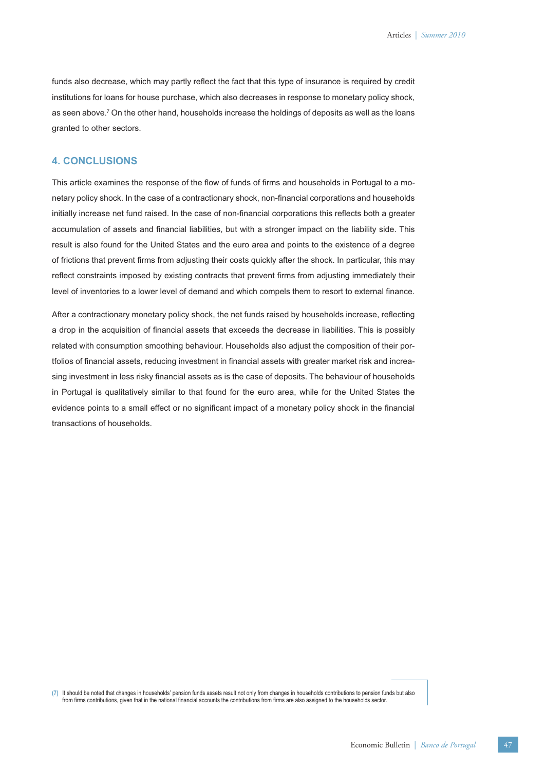funds also decrease, which may partly reflect the fact that this type of insurance is required by credit institutions for loans for house purchase, which also decreases in response to monetary policy shock, as seen above. $^7$  On the other hand, households increase the holdings of deposits as well as the loans granted to other sectors.

## **4. CONCLUSIONS**

This article examines the response of the flow of funds of firms and households in Portugal to a monetary policy shock. In the case of a contractionary shock, non-financial corporations and households initially increase net fund raised. In the case of non-financial corporations this reflects both a greater accumulation of assets and financial liabilities, but with a stronger impact on the liability side. This result is also found for the United States and the euro area and points to the existence of a degree of frictions that prevent firms from adjusting their costs quickly after the shock. In particular, this may reflect constraints imposed by existing contracts that prevent firms from adjusting immediately their level of inventories to a lower level of demand and which compels them to resort to external finance.

After a contractionary monetary policy shock, the net funds raised by households increase, reflecting a drop in the acquisition of financial assets that exceeds the decrease in liabilities. This is possibly related with consumption smoothing behaviour. Households also adjust the composition of their portfolios of financial assets, reducing investment in financial assets with greater market risk and increasing investment in less risky financial assets as is the case of deposits. The behaviour of households in Portugal is qualitatively similar to that found for the euro area, while for the United States the evidence points to a small effect or no significant impact of a monetary policy shock in the financial transactions of households.

**(7)** It should be noted that changes in households' pension funds assets result not only from changes in households contributions to pension funds but also from firms contributions, given that in the national financial accounts the contributions from firms are also assigned to the households sector.